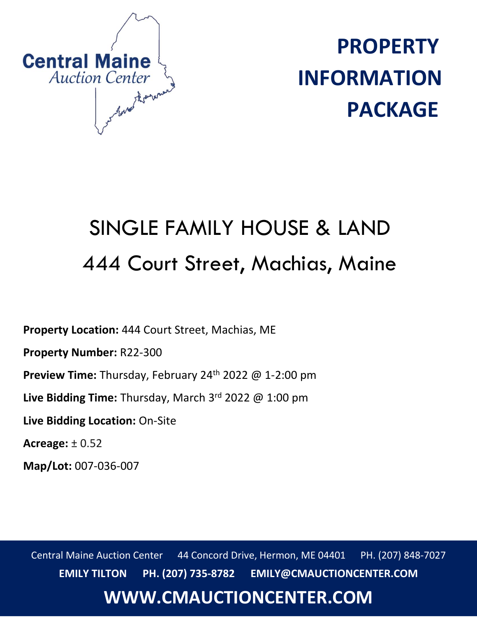

**PROPERTY INFORMATION PACKAGE**

# SINGLE FAMILY HOUSE & LAND 444 Court Street, Machias, Maine

**Property Location:** 444 Court Street, Machias, ME

**Property Number:** R22-300

Preview Time: Thursday, February 24<sup>th</sup> 2022 @ 1-2:00 pm

**Live Bidding Time:** Thursday, March 3rd 2022 @ 1:00 pm

**Live Bidding Location:** On-Site

**Acreage:** ± 0.52

**Map/Lot:** 007-036-007

Central Maine Auction Center 44 Concord Drive, Hermon, ME 04401 PH. (207) 848-7027 **EMILY TILTON PH. (207) 735-8782 EMILY@CMAUCTIONCENTER.COM**

## **WWW.CMAUCTIONCENTER.COM**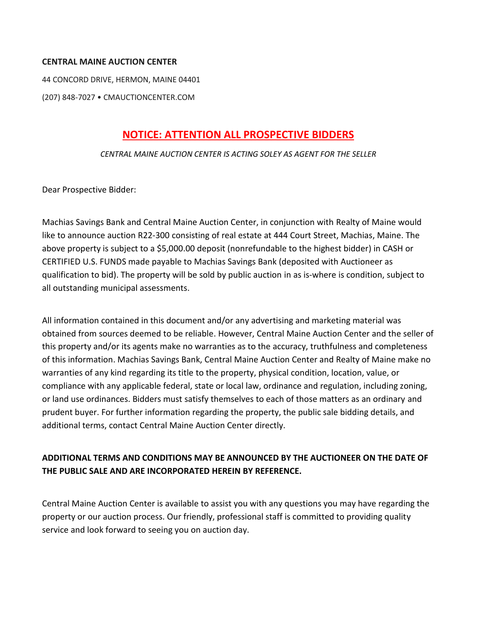#### **CENTRAL MAINE AUCTION CENTER**

44 CONCORD DRIVE, HERMON, MAINE 04401

(207) 848-7027 • CMAUCTIONCENTER.COM

#### **NOTICE: ATTENTION ALL PROSPECTIVE BIDDERS**

#### *CENTRAL MAINE AUCTION CENTER IS ACTING SOLEY AS AGENT FOR THE SELLER*

Dear Prospective Bidder:

Machias Savings Bank and Central Maine Auction Center, in conjunction with Realty of Maine would like to announce auction R22-300 consisting of real estate at 444 Court Street, Machias, Maine. The above property is subject to a \$5,000.00 deposit (nonrefundable to the highest bidder) in CASH or CERTIFIED U.S. FUNDS made payable to Machias Savings Bank (deposited with Auctioneer as qualification to bid). The property will be sold by public auction in as is-where is condition, subject to all outstanding municipal assessments.

All information contained in this document and/or any advertising and marketing material was obtained from sources deemed to be reliable. However, Central Maine Auction Center and the seller of this property and/or its agents make no warranties as to the accuracy, truthfulness and completeness of this information. Machias Savings Bank, Central Maine Auction Center and Realty of Maine make no warranties of any kind regarding its title to the property, physical condition, location, value, or compliance with any applicable federal, state or local law, ordinance and regulation, including zoning, or land use ordinances. Bidders must satisfy themselves to each of those matters as an ordinary and prudent buyer. For further information regarding the property, the public sale bidding details, and additional terms, contact Central Maine Auction Center directly.

#### **ADDITIONAL TERMS AND CONDITIONS MAY BE ANNOUNCED BY THE AUCTIONEER ON THE DATE OF THE PUBLIC SALE AND ARE INCORPORATED HEREIN BY REFERENCE.**

Central Maine Auction Center is available to assist you with any questions you may have regarding the property or our auction process. Our friendly, professional staff is committed to providing quality service and look forward to seeing you on auction day.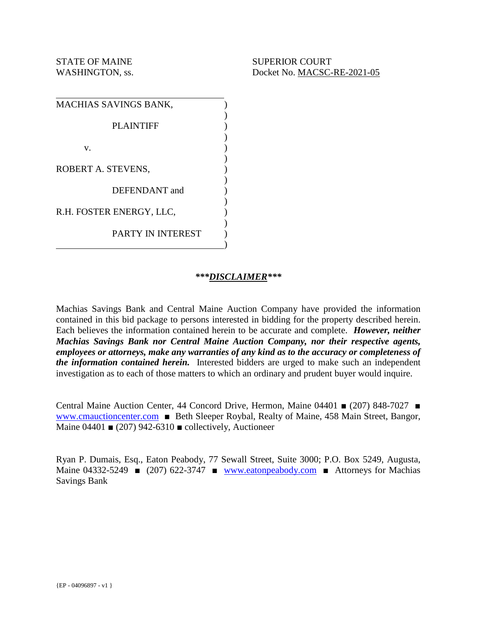| MACHIAS SAVINGS BANK,    |  |
|--------------------------|--|
| <b>PLAINTIFF</b>         |  |
| v.                       |  |
| ROBERT A. STEVENS,       |  |
| DEFENDANT and            |  |
| R.H. FOSTER ENERGY, LLC, |  |
| <b>PARTY IN INTEREST</b> |  |

#### *\*\*\*DISCLAIMER\*\*\**

Machias Savings Bank and Central Maine Auction Company have provided the information contained in this bid package to persons interested in bidding for the property described herein. Each believes the information contained herein to be accurate and complete. *However, neither Machias Savings Bank nor Central Maine Auction Company, nor their respective agents, employees or attorneys, make any warranties of any kind as to the accuracy or completeness of the information contained herein.* Interested bidders are urged to make such an independent investigation as to each of those matters to which an ordinary and prudent buyer would inquire.

Central Maine Auction Center, 44 Concord Drive, Hermon, Maine 04401 ■ (207) 848-7027 ■ www.cmauctioncenter.com ■ Beth Sleeper Roybal, Realty of Maine, 458 Main Street, Bangor, Maine 04401  $\bullet$  (207) 942-6310  $\bullet$  collectively, Auctioneer

Ryan P. Dumais, Esq., Eaton Peabody, 77 Sewall Street, Suite 3000; P.O. Box 5249, Augusta, Maine 04332-5249 ■ (207) 622-3747 ■ www.eatonpeabody.com ■ Attorneys for Machias Savings Bank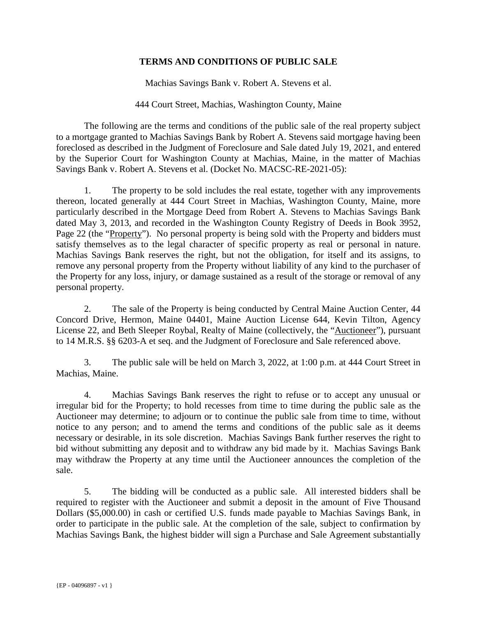#### **TERMS AND CONDITIONS OF PUBLIC SALE**

Machias Savings Bank v. Robert A. Stevens et al.

#### 444 Court Street, Machias, Washington County, Maine

 The following are the terms and conditions of the public sale of the real property subject to a mortgage granted to Machias Savings Bank by Robert A. Stevens said mortgage having been foreclosed as described in the Judgment of Foreclosure and Sale dated July 19, 2021, and entered by the Superior Court for Washington County at Machias, Maine, in the matter of Machias Savings Bank v. Robert A. Stevens et al. (Docket No. MACSC-RE-2021-05):

1. The property to be sold includes the real estate, together with any improvements thereon, located generally at 444 Court Street in Machias, Washington County, Maine, more particularly described in the Mortgage Deed from Robert A. Stevens to Machias Savings Bank dated May 3, 2013, and recorded in the Washington County Registry of Deeds in Book 3952, Page 22 (the "Property"). No personal property is being sold with the Property and bidders must satisfy themselves as to the legal character of specific property as real or personal in nature. Machias Savings Bank reserves the right, but not the obligation, for itself and its assigns, to remove any personal property from the Property without liability of any kind to the purchaser of the Property for any loss, injury, or damage sustained as a result of the storage or removal of any personal property.

2. The sale of the Property is being conducted by Central Maine Auction Center, 44 Concord Drive, Hermon, Maine 04401, Maine Auction License 644, Kevin Tilton, Agency License 22, and Beth Sleeper Roybal, Realty of Maine (collectively, the "Auctioneer"), pursuant to 14 M.R.S. §§ 6203-A et seq. and the Judgment of Foreclosure and Sale referenced above.

3. The public sale will be held on March 3, 2022, at 1:00 p.m. at 444 Court Street in Machias, Maine.

4. Machias Savings Bank reserves the right to refuse or to accept any unusual or irregular bid for the Property; to hold recesses from time to time during the public sale as the Auctioneer may determine; to adjourn or to continue the public sale from time to time, without notice to any person; and to amend the terms and conditions of the public sale as it deems necessary or desirable, in its sole discretion. Machias Savings Bank further reserves the right to bid without submitting any deposit and to withdraw any bid made by it. Machias Savings Bank may withdraw the Property at any time until the Auctioneer announces the completion of the sale.

5. The bidding will be conducted as a public sale. All interested bidders shall be required to register with the Auctioneer and submit a deposit in the amount of Five Thousand Dollars (\$5,000.00) in cash or certified U.S. funds made payable to Machias Savings Bank, in order to participate in the public sale. At the completion of the sale, subject to confirmation by Machias Savings Bank, the highest bidder will sign a Purchase and Sale Agreement substantially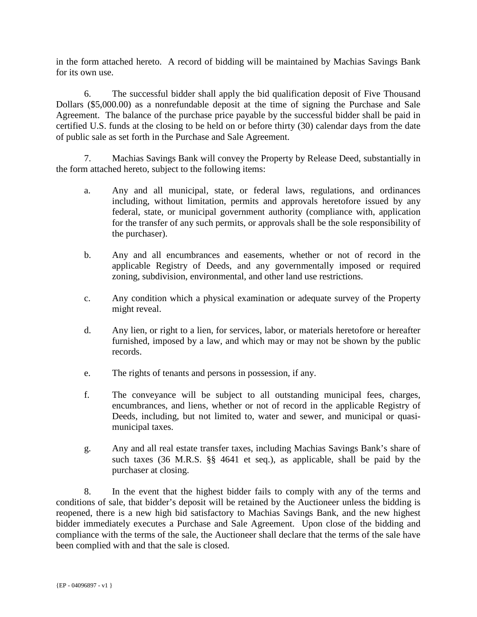in the form attached hereto. A record of bidding will be maintained by Machias Savings Bank for its own use.

6. The successful bidder shall apply the bid qualification deposit of Five Thousand Dollars (\$5,000.00) as a nonrefundable deposit at the time of signing the Purchase and Sale Agreement. The balance of the purchase price payable by the successful bidder shall be paid in certified U.S. funds at the closing to be held on or before thirty (30) calendar days from the date of public sale as set forth in the Purchase and Sale Agreement.

7. Machias Savings Bank will convey the Property by Release Deed, substantially in the form attached hereto, subject to the following items:

- a. Any and all municipal, state, or federal laws, regulations, and ordinances including, without limitation, permits and approvals heretofore issued by any federal, state, or municipal government authority (compliance with, application for the transfer of any such permits, or approvals shall be the sole responsibility of the purchaser).
- b. Any and all encumbrances and easements, whether or not of record in the applicable Registry of Deeds, and any governmentally imposed or required zoning, subdivision, environmental, and other land use restrictions.
- c. Any condition which a physical examination or adequate survey of the Property might reveal.
- d. Any lien, or right to a lien, for services, labor, or materials heretofore or hereafter furnished, imposed by a law, and which may or may not be shown by the public records.
- e. The rights of tenants and persons in possession, if any.
- f. The conveyance will be subject to all outstanding municipal fees, charges, encumbrances, and liens, whether or not of record in the applicable Registry of Deeds, including, but not limited to, water and sewer, and municipal or quasimunicipal taxes.
- g. Any and all real estate transfer taxes, including Machias Savings Bank's share of such taxes (36 M.R.S. §§ 4641 et seq.), as applicable, shall be paid by the purchaser at closing.

8. In the event that the highest bidder fails to comply with any of the terms and conditions of sale, that bidder's deposit will be retained by the Auctioneer unless the bidding is reopened, there is a new high bid satisfactory to Machias Savings Bank, and the new highest bidder immediately executes a Purchase and Sale Agreement. Upon close of the bidding and compliance with the terms of the sale, the Auctioneer shall declare that the terms of the sale have been complied with and that the sale is closed.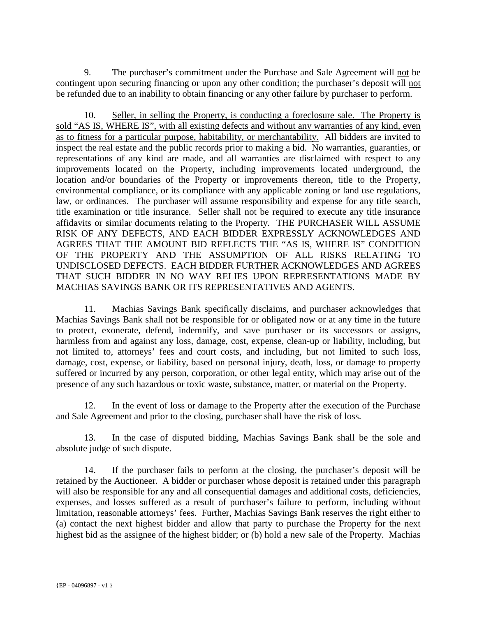9. The purchaser's commitment under the Purchase and Sale Agreement will not be contingent upon securing financing or upon any other condition; the purchaser's deposit will not be refunded due to an inability to obtain financing or any other failure by purchaser to perform.

10. Seller, in selling the Property, is conducting a foreclosure sale. The Property is sold "AS IS, WHERE IS", with all existing defects and without any warranties of any kind, even as to fitness for a particular purpose, habitability, or merchantability. All bidders are invited to inspect the real estate and the public records prior to making a bid. No warranties, guaranties, or representations of any kind are made, and all warranties are disclaimed with respect to any improvements located on the Property, including improvements located underground, the location and/or boundaries of the Property or improvements thereon, title to the Property, environmental compliance, or its compliance with any applicable zoning or land use regulations, law, or ordinances. The purchaser will assume responsibility and expense for any title search, title examination or title insurance. Seller shall not be required to execute any title insurance affidavits or similar documents relating to the Property. THE PURCHASER WILL ASSUME RISK OF ANY DEFECTS, AND EACH BIDDER EXPRESSLY ACKNOWLEDGES AND AGREES THAT THE AMOUNT BID REFLECTS THE "AS IS, WHERE IS" CONDITION OF THE PROPERTY AND THE ASSUMPTION OF ALL RISKS RELATING TO UNDISCLOSED DEFECTS. EACH BIDDER FURTHER ACKNOWLEDGES AND AGREES THAT SUCH BIDDER IN NO WAY RELIES UPON REPRESENTATIONS MADE BY MACHIAS SAVINGS BANK OR ITS REPRESENTATIVES AND AGENTS.

11. Machias Savings Bank specifically disclaims, and purchaser acknowledges that Machias Savings Bank shall not be responsible for or obligated now or at any time in the future to protect, exonerate, defend, indemnify, and save purchaser or its successors or assigns, harmless from and against any loss, damage, cost, expense, clean-up or liability, including, but not limited to, attorneys' fees and court costs, and including, but not limited to such loss, damage, cost, expense, or liability, based on personal injury, death, loss, or damage to property suffered or incurred by any person, corporation, or other legal entity, which may arise out of the presence of any such hazardous or toxic waste, substance, matter, or material on the Property.

12. In the event of loss or damage to the Property after the execution of the Purchase and Sale Agreement and prior to the closing, purchaser shall have the risk of loss.

13. In the case of disputed bidding, Machias Savings Bank shall be the sole and absolute judge of such dispute.

14. If the purchaser fails to perform at the closing, the purchaser's deposit will be retained by the Auctioneer. A bidder or purchaser whose deposit is retained under this paragraph will also be responsible for any and all consequential damages and additional costs, deficiencies, expenses, and losses suffered as a result of purchaser's failure to perform, including without limitation, reasonable attorneys' fees. Further, Machias Savings Bank reserves the right either to (a) contact the next highest bidder and allow that party to purchase the Property for the next highest bid as the assignee of the highest bidder; or (b) hold a new sale of the Property. Machias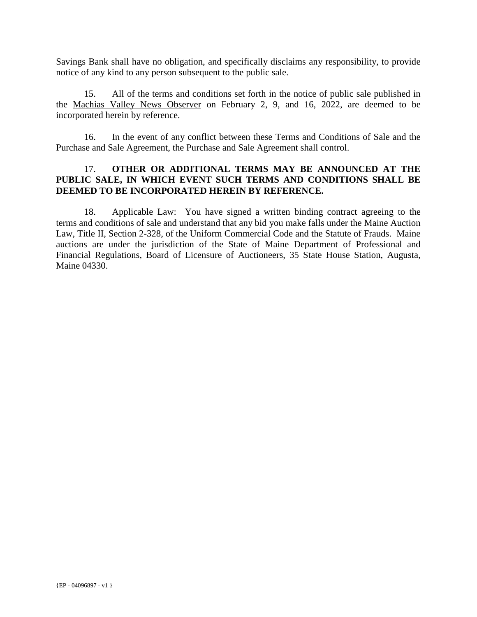Savings Bank shall have no obligation, and specifically disclaims any responsibility, to provide notice of any kind to any person subsequent to the public sale.

15. All of the terms and conditions set forth in the notice of public sale published in the Machias Valley News Observer on February 2, 9, and 16, 2022, are deemed to be incorporated herein by reference.

16. In the event of any conflict between these Terms and Conditions of Sale and the Purchase and Sale Agreement, the Purchase and Sale Agreement shall control.

#### 17. **OTHER OR ADDITIONAL TERMS MAY BE ANNOUNCED AT THE PUBLIC SALE, IN WHICH EVENT SUCH TERMS AND CONDITIONS SHALL BE DEEMED TO BE INCORPORATED HEREIN BY REFERENCE.**

18. Applicable Law: You have signed a written binding contract agreeing to the terms and conditions of sale and understand that any bid you make falls under the Maine Auction Law, Title II, Section 2-328, of the Uniform Commercial Code and the Statute of Frauds. Maine auctions are under the jurisdiction of the State of Maine Department of Professional and Financial Regulations, Board of Licensure of Auctioneers, 35 State House Station, Augusta, Maine 04330.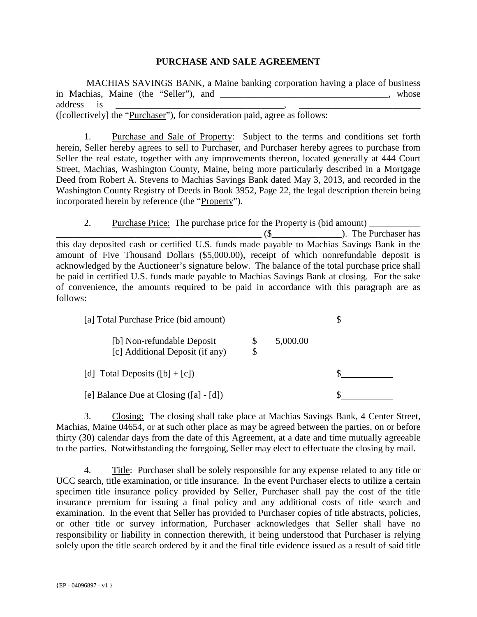#### **PURCHASE AND SALE AGREEMENT**

 MACHIAS SAVINGS BANK, a Maine banking corporation having a place of business in Machias, Maine (the "Seller"), and \_\_\_\_\_\_\_\_\_\_\_\_\_\_\_\_\_\_\_\_\_\_\_\_\_\_\_\_\_\_\_\_, whose address is \_\_\_\_\_\_\_\_\_\_\_\_\_\_\_\_\_\_\_\_\_\_\_\_\_\_\_\_\_\_\_\_\_\_\_\_, \_\_\_\_\_\_\_\_\_\_\_\_\_\_\_\_\_\_\_\_\_\_\_\_\_\_ ([collectively] the "Purchaser"), for consideration paid, agree as follows:

1. Purchase and Sale of Property: Subject to the terms and conditions set forth herein, Seller hereby agrees to sell to Purchaser, and Purchaser hereby agrees to purchase from Seller the real estate, together with any improvements thereon, located generally at 444 Court Street, Machias, Washington County, Maine, being more particularly described in a Mortgage Deed from Robert A. Stevens to Machias Savings Bank dated May 3, 2013, and recorded in the Washington County Registry of Deeds in Book 3952, Page 22, the legal description therein being incorporated herein by reference (the "Property").

2. Purchase Price: The purchase price for the Property is (bid amount) \_\_\_\_\_\_\_\_\_\_\_ \_\_\_\_\_\_\_\_\_\_\_\_\_\_\_\_\_\_\_\_\_\_\_\_\_\_\_\_\_\_\_\_\_\_\_\_\_\_\_\_\_\_\_\_ (\$\_\_\_\_\_\_\_\_\_\_\_\_\_\_\_). The Purchaser has this day deposited cash or certified U.S. funds made payable to Machias Savings Bank in the amount of Five Thousand Dollars (\$5,000.00), receipt of which nonrefundable deposit is acknowledged by the Auctioneer's signature below. The balance of the total purchase price shall be paid in certified U.S. funds made payable to Machias Savings Bank at closing. For the sake of convenience, the amounts required to be paid in accordance with this paragraph are as follows:

| [a] Total Purchase Price (bid amount)                         |          |  |
|---------------------------------------------------------------|----------|--|
| [b] Non-refundable Deposit<br>[c] Additional Deposit (if any) | 5,000.00 |  |
| [d] Total Deposits $([b] + [c])$                              |          |  |
| [e] Balance Due at Closing $([a] - [d])$                      |          |  |

3. Closing: The closing shall take place at Machias Savings Bank, 4 Center Street, Machias, Maine 04654, or at such other place as may be agreed between the parties, on or before thirty (30) calendar days from the date of this Agreement, at a date and time mutually agreeable to the parties. Notwithstanding the foregoing, Seller may elect to effectuate the closing by mail.

4. Title: Purchaser shall be solely responsible for any expense related to any title or UCC search, title examination, or title insurance. In the event Purchaser elects to utilize a certain specimen title insurance policy provided by Seller, Purchaser shall pay the cost of the title insurance premium for issuing a final policy and any additional costs of title search and examination. In the event that Seller has provided to Purchaser copies of title abstracts, policies, or other title or survey information, Purchaser acknowledges that Seller shall have no responsibility or liability in connection therewith, it being understood that Purchaser is relying solely upon the title search ordered by it and the final title evidence issued as a result of said title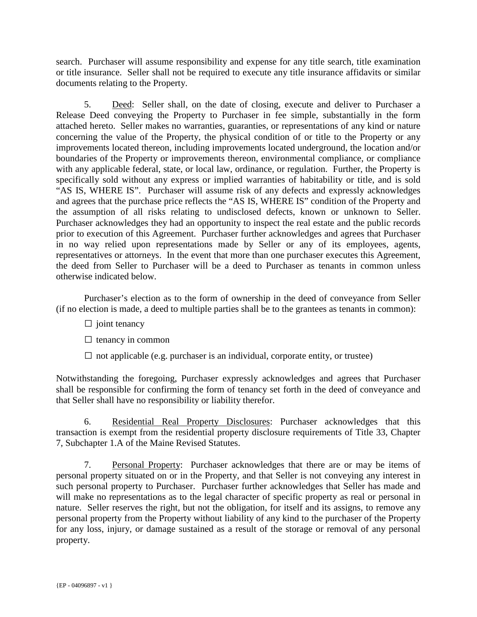search. Purchaser will assume responsibility and expense for any title search, title examination or title insurance. Seller shall not be required to execute any title insurance affidavits or similar documents relating to the Property.

5. Deed: Seller shall, on the date of closing, execute and deliver to Purchaser a Release Deed conveying the Property to Purchaser in fee simple, substantially in the form attached hereto. Seller makes no warranties, guaranties, or representations of any kind or nature concerning the value of the Property, the physical condition of or title to the Property or any improvements located thereon, including improvements located underground, the location and/or boundaries of the Property or improvements thereon, environmental compliance, or compliance with any applicable federal, state, or local law, ordinance, or regulation. Further, the Property is specifically sold without any express or implied warranties of habitability or title, and is sold "AS IS, WHERE IS". Purchaser will assume risk of any defects and expressly acknowledges and agrees that the purchase price reflects the "AS IS, WHERE IS" condition of the Property and the assumption of all risks relating to undisclosed defects, known or unknown to Seller. Purchaser acknowledges they had an opportunity to inspect the real estate and the public records prior to execution of this Agreement. Purchaser further acknowledges and agrees that Purchaser in no way relied upon representations made by Seller or any of its employees, agents, representatives or attorneys. In the event that more than one purchaser executes this Agreement, the deed from Seller to Purchaser will be a deed to Purchaser as tenants in common unless otherwise indicated below.

 Purchaser's election as to the form of ownership in the deed of conveyance from Seller (if no election is made, a deed to multiple parties shall be to the grantees as tenants in common):

- $\Box$  joint tenancy
- $\square$  tenancy in common
- $\Box$  not applicable (e.g. purchaser is an individual, corporate entity, or trustee)

Notwithstanding the foregoing, Purchaser expressly acknowledges and agrees that Purchaser shall be responsible for confirming the form of tenancy set forth in the deed of conveyance and that Seller shall have no responsibility or liability therefor.

6. Residential Real Property Disclosures: Purchaser acknowledges that this transaction is exempt from the residential property disclosure requirements of Title 33, Chapter 7, Subchapter 1.A of the Maine Revised Statutes.

7. Personal Property: Purchaser acknowledges that there are or may be items of personal property situated on or in the Property, and that Seller is not conveying any interest in such personal property to Purchaser. Purchaser further acknowledges that Seller has made and will make no representations as to the legal character of specific property as real or personal in nature. Seller reserves the right, but not the obligation, for itself and its assigns, to remove any personal property from the Property without liability of any kind to the purchaser of the Property for any loss, injury, or damage sustained as a result of the storage or removal of any personal property.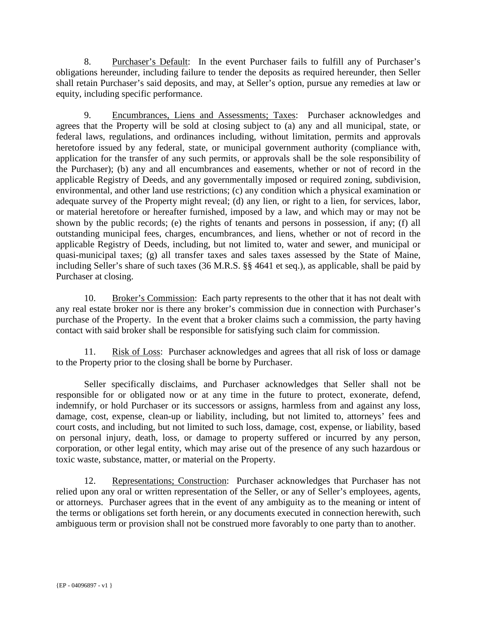8. Purchaser's Default: In the event Purchaser fails to fulfill any of Purchaser's obligations hereunder, including failure to tender the deposits as required hereunder, then Seller shall retain Purchaser's said deposits, and may, at Seller's option, pursue any remedies at law or equity, including specific performance.

9. Encumbrances, Liens and Assessments; Taxes: Purchaser acknowledges and agrees that the Property will be sold at closing subject to (a) any and all municipal, state, or federal laws, regulations, and ordinances including, without limitation, permits and approvals heretofore issued by any federal, state, or municipal government authority (compliance with, application for the transfer of any such permits, or approvals shall be the sole responsibility of the Purchaser); (b) any and all encumbrances and easements, whether or not of record in the applicable Registry of Deeds, and any governmentally imposed or required zoning, subdivision, environmental, and other land use restrictions; (c) any condition which a physical examination or adequate survey of the Property might reveal; (d) any lien, or right to a lien, for services, labor, or material heretofore or hereafter furnished, imposed by a law, and which may or may not be shown by the public records; (e) the rights of tenants and persons in possession, if any; (f) all outstanding municipal fees, charges, encumbrances, and liens, whether or not of record in the applicable Registry of Deeds, including, but not limited to, water and sewer, and municipal or quasi-municipal taxes; (g) all transfer taxes and sales taxes assessed by the State of Maine, including Seller's share of such taxes (36 M.R.S. §§ 4641 et seq.), as applicable, shall be paid by Purchaser at closing.

10. Broker's Commission: Each party represents to the other that it has not dealt with any real estate broker nor is there any broker's commission due in connection with Purchaser's purchase of the Property. In the event that a broker claims such a commission, the party having contact with said broker shall be responsible for satisfying such claim for commission.

11. Risk of Loss: Purchaser acknowledges and agrees that all risk of loss or damage to the Property prior to the closing shall be borne by Purchaser.

Seller specifically disclaims, and Purchaser acknowledges that Seller shall not be responsible for or obligated now or at any time in the future to protect, exonerate, defend, indemnify, or hold Purchaser or its successors or assigns, harmless from and against any loss, damage, cost, expense, clean-up or liability, including, but not limited to, attorneys' fees and court costs, and including, but not limited to such loss, damage, cost, expense, or liability, based on personal injury, death, loss, or damage to property suffered or incurred by any person, corporation, or other legal entity, which may arise out of the presence of any such hazardous or toxic waste, substance, matter, or material on the Property.

12. Representations; Construction: Purchaser acknowledges that Purchaser has not relied upon any oral or written representation of the Seller, or any of Seller's employees, agents, or attorneys. Purchaser agrees that in the event of any ambiguity as to the meaning or intent of the terms or obligations set forth herein, or any documents executed in connection herewith, such ambiguous term or provision shall not be construed more favorably to one party than to another.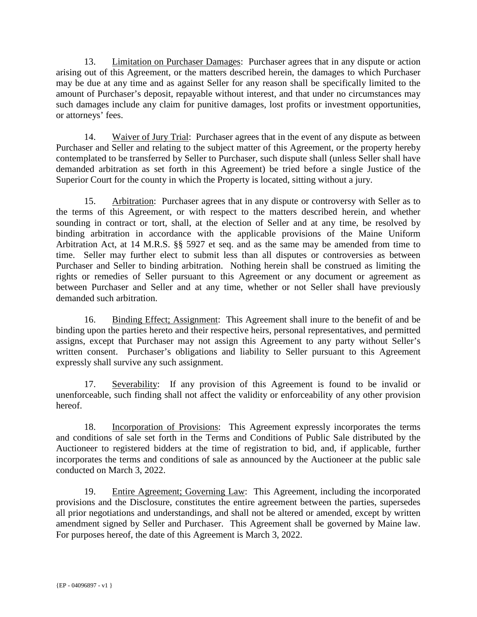13. Limitation on Purchaser Damages: Purchaser agrees that in any dispute or action arising out of this Agreement, or the matters described herein, the damages to which Purchaser may be due at any time and as against Seller for any reason shall be specifically limited to the amount of Purchaser's deposit, repayable without interest, and that under no circumstances may such damages include any claim for punitive damages, lost profits or investment opportunities, or attorneys' fees.

14. Waiver of Jury Trial: Purchaser agrees that in the event of any dispute as between Purchaser and Seller and relating to the subject matter of this Agreement, or the property hereby contemplated to be transferred by Seller to Purchaser, such dispute shall (unless Seller shall have demanded arbitration as set forth in this Agreement) be tried before a single Justice of the Superior Court for the county in which the Property is located, sitting without a jury.

15. Arbitration: Purchaser agrees that in any dispute or controversy with Seller as to the terms of this Agreement, or with respect to the matters described herein, and whether sounding in contract or tort, shall, at the election of Seller and at any time, be resolved by binding arbitration in accordance with the applicable provisions of the Maine Uniform Arbitration Act, at 14 M.R.S. §§ 5927 et seq. and as the same may be amended from time to time. Seller may further elect to submit less than all disputes or controversies as between Purchaser and Seller to binding arbitration. Nothing herein shall be construed as limiting the rights or remedies of Seller pursuant to this Agreement or any document or agreement as between Purchaser and Seller and at any time, whether or not Seller shall have previously demanded such arbitration.

16. Binding Effect; Assignment: This Agreement shall inure to the benefit of and be binding upon the parties hereto and their respective heirs, personal representatives, and permitted assigns, except that Purchaser may not assign this Agreement to any party without Seller's written consent. Purchaser's obligations and liability to Seller pursuant to this Agreement expressly shall survive any such assignment.

17. Severability: If any provision of this Agreement is found to be invalid or unenforceable, such finding shall not affect the validity or enforceability of any other provision hereof.

18. Incorporation of Provisions: This Agreement expressly incorporates the terms and conditions of sale set forth in the Terms and Conditions of Public Sale distributed by the Auctioneer to registered bidders at the time of registration to bid, and, if applicable, further incorporates the terms and conditions of sale as announced by the Auctioneer at the public sale conducted on March 3, 2022.

19. Entire Agreement; Governing Law: This Agreement, including the incorporated provisions and the Disclosure, constitutes the entire agreement between the parties, supersedes all prior negotiations and understandings, and shall not be altered or amended, except by written amendment signed by Seller and Purchaser. This Agreement shall be governed by Maine law. For purposes hereof, the date of this Agreement is March 3, 2022.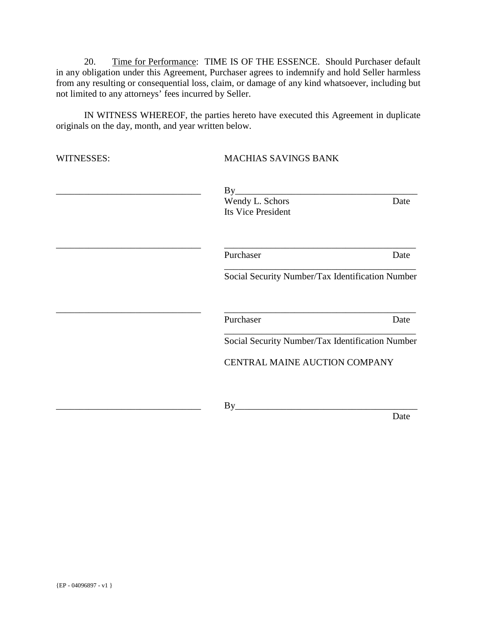20. Time for Performance: TIME IS OF THE ESSENCE. Should Purchaser default in any obligation under this Agreement, Purchaser agrees to indemnify and hold Seller harmless from any resulting or consequential loss, claim, or damage of any kind whatsoever, including but not limited to any attorneys' fees incurred by Seller.

IN WITNESS WHEREOF, the parties hereto have executed this Agreement in duplicate originals on the day, month, and year written below.

| WITNESSES: | <b>MACHIAS SAVINGS BANK</b>                                   |      |  |  |
|------------|---------------------------------------------------------------|------|--|--|
|            | By<br>Wendy L. Schors<br>Its Vice President                   | Date |  |  |
|            | Purchaser<br>Social Security Number/Tax Identification Number | Date |  |  |
|            |                                                               |      |  |  |
|            | Purchaser<br>Social Security Number/Tax Identification Number | Date |  |  |
|            | CENTRAL MAINE AUCTION COMPANY                                 |      |  |  |
|            | By                                                            |      |  |  |
|            |                                                               | Date |  |  |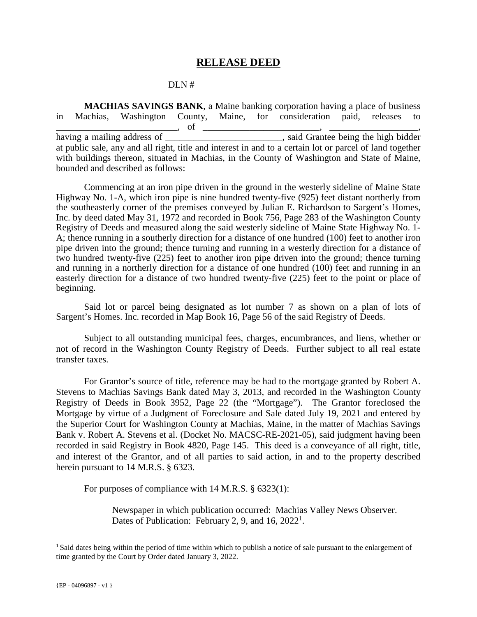#### **RELEASE DEED**

DLN #

 **MACHIAS SAVINGS BANK**, a Maine banking corporation having a place of business in Machias, Washington County, Maine, for consideration paid, releases to \_\_\_\_\_\_\_\_\_\_\_\_\_\_\_\_\_\_\_\_\_\_\_\_\_\_, of \_\_\_\_\_\_\_\_\_\_\_\_\_\_\_\_\_\_\_\_\_\_\_\_\_, \_\_\_\_\_\_\_\_\_\_\_\_\_\_\_\_\_\_\_, having a mailing address of \_\_\_\_\_\_\_\_\_\_\_\_\_\_\_\_\_\_\_\_\_\_\_\_\_\_, said Grantee being the high bidder at public sale, any and all right, title and interest in and to a certain lot or parcel of land together with buildings thereon, situated in Machias, in the County of Washington and State of Maine, bounded and described as follows:

Commencing at an iron pipe driven in the ground in the westerly sideline of Maine State Highway No. 1-A, which iron pipe is nine hundred twenty-five (925) feet distant northerly from the southeasterly corner of the premises conveyed by Julian E. Richardson to Sargent's Homes, Inc. by deed dated May 31, 1972 and recorded in Book 756, Page 283 of the Washington County Registry of Deeds and measured along the said westerly sideline of Maine State Highway No. 1- A; thence running in a southerly direction for a distance of one hundred (100) feet to another iron pipe driven into the ground; thence turning and running in a westerly direction for a distance of two hundred twenty-five (225) feet to another iron pipe driven into the ground; thence turning and running in a northerly direction for a distance of one hundred (100) feet and running in an easterly direction for a distance of two hundred twenty-five (225) feet to the point or place of beginning.

Said lot or parcel being designated as lot number 7 as shown on a plan of lots of Sargent's Homes. Inc. recorded in Map Book 16, Page 56 of the said Registry of Deeds.

 Subject to all outstanding municipal fees, charges, encumbrances, and liens, whether or not of record in the Washington County Registry of Deeds. Further subject to all real estate transfer taxes.

For Grantor's source of title, reference may be had to the mortgage granted by Robert A. Stevens to Machias Savings Bank dated May 3, 2013, and recorded in the Washington County Registry of Deeds in Book 3952, Page 22 (the "Mortgage"). The Grantor foreclosed the Mortgage by virtue of a Judgment of Foreclosure and Sale dated July 19, 2021 and entered by the Superior Court for Washington County at Machias, Maine, in the matter of Machias Savings Bank v. Robert A. Stevens et al. (Docket No. MACSC-RE-2021-05), said judgment having been recorded in said Registry in Book 4820, Page 145. This deed is a conveyance of all right, title, and interest of the Grantor, and of all parties to said action, in and to the property described herein pursuant to 14 M.R.S. § 6323.

For purposes of compliance with 14 M.R.S. § 6323(1):

Newspaper in which publication occurred: Machias Valley News Observer. Dates of Publication: February 2, 9, and 16,  $2022<sup>1</sup>$ .

÷,

<sup>&</sup>lt;sup>1</sup> Said dates being within the period of time within which to publish a notice of sale pursuant to the enlargement of time granted by the Court by Order dated January 3, 2022.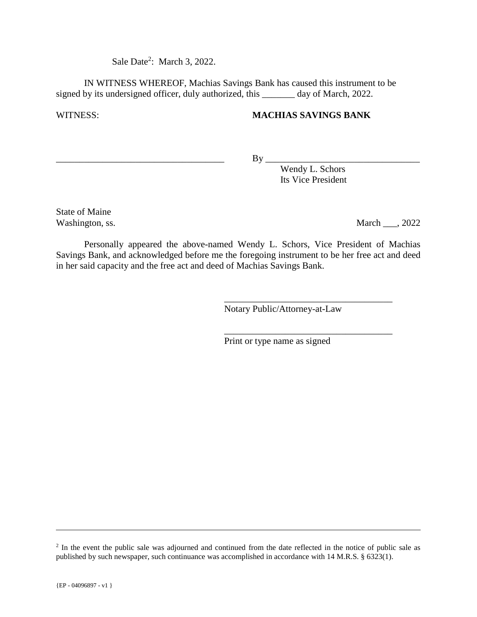Sale Date<sup>2</sup>: March 3, 2022.

 IN WITNESS WHEREOF, Machias Savings Bank has caused this instrument to be signed by its undersigned officer, duly authorized, this \_\_\_\_\_\_\_ day of March, 2022.

#### WITNESS: **MACHIAS SAVINGS BANK**

\_\_\_\_\_\_\_\_\_\_\_\_\_\_\_\_\_\_\_\_\_\_\_\_\_\_\_\_\_\_\_\_\_\_\_\_ By \_\_\_\_\_\_\_\_\_\_\_\_\_\_\_\_\_\_\_\_\_\_\_\_\_\_\_\_\_\_\_\_\_

Wendy L. Schors Its Vice President

State of Maine

Washington, ss. March 2022

 Personally appeared the above-named Wendy L. Schors, Vice President of Machias Savings Bank, and acknowledged before me the foregoing instrument to be her free act and deed in her said capacity and the free act and deed of Machias Savings Bank.

 $\overline{\phantom{a}}$  , which is a set of the set of the set of the set of the set of the set of the set of the set of the set of the set of the set of the set of the set of the set of the set of the set of the set of the set of th

 $\overline{\phantom{a}}$  , which is a set of the set of the set of the set of the set of the set of the set of the set of the set of the set of the set of the set of the set of the set of the set of the set of the set of the set of th

Notary Public/Attorney-at-Law

Print or type name as signed

÷,

<sup>&</sup>lt;sup>2</sup> In the event the public sale was adjourned and continued from the date reflected in the notice of public sale as published by such newspaper, such continuance was accomplished in accordance with 14 M.R.S. § 6323(1).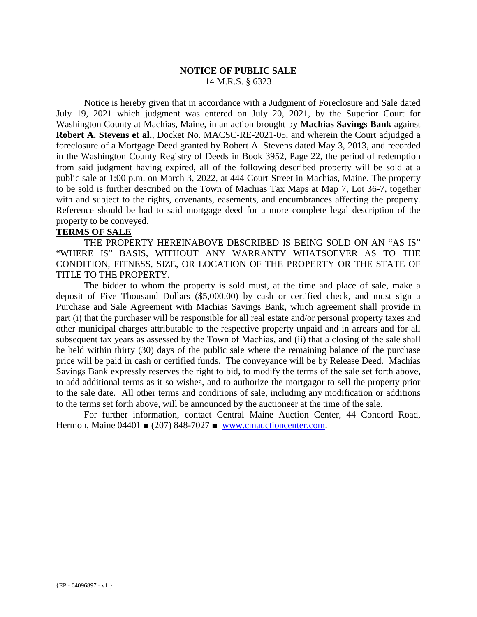#### **NOTICE OF PUBLIC SALE** 14 M.R.S. § 6323

 Notice is hereby given that in accordance with a Judgment of Foreclosure and Sale dated July 19, 2021 which judgment was entered on July 20, 2021, by the Superior Court for Washington County at Machias, Maine, in an action brought by **Machias Savings Bank** against **Robert A. Stevens et al.**, Docket No. MACSC-RE-2021-05, and wherein the Court adjudged a foreclosure of a Mortgage Deed granted by Robert A. Stevens dated May 3, 2013, and recorded in the Washington County Registry of Deeds in Book 3952, Page 22, the period of redemption from said judgment having expired, all of the following described property will be sold at a public sale at 1:00 p.m. on March 3, 2022, at 444 Court Street in Machias, Maine. The property to be sold is further described on the Town of Machias Tax Maps at Map 7, Lot 36-7, together with and subject to the rights, covenants, easements, and encumbrances affecting the property. Reference should be had to said mortgage deed for a more complete legal description of the property to be conveyed.

#### **TERMS OF SALE**

THE PROPERTY HEREINABOVE DESCRIBED IS BEING SOLD ON AN "AS IS" "WHERE IS" BASIS, WITHOUT ANY WARRANTY WHATSOEVER AS TO THE CONDITION, FITNESS, SIZE, OR LOCATION OF THE PROPERTY OR THE STATE OF TITLE TO THE PROPERTY.

The bidder to whom the property is sold must, at the time and place of sale, make a deposit of Five Thousand Dollars (\$5,000.00) by cash or certified check, and must sign a Purchase and Sale Agreement with Machias Savings Bank, which agreement shall provide in part (i) that the purchaser will be responsible for all real estate and/or personal property taxes and other municipal charges attributable to the respective property unpaid and in arrears and for all subsequent tax years as assessed by the Town of Machias, and (ii) that a closing of the sale shall be held within thirty (30) days of the public sale where the remaining balance of the purchase price will be paid in cash or certified funds. The conveyance will be by Release Deed. Machias Savings Bank expressly reserves the right to bid, to modify the terms of the sale set forth above, to add additional terms as it so wishes, and to authorize the mortgagor to sell the property prior to the sale date. All other terms and conditions of sale, including any modification or additions to the terms set forth above, will be announced by the auctioneer at the time of the sale.

For further information, contact Central Maine Auction Center, 44 Concord Road, Hermon, Maine 04401 ■ (207) 848-7027 ■ www.cmauctioncenter.com.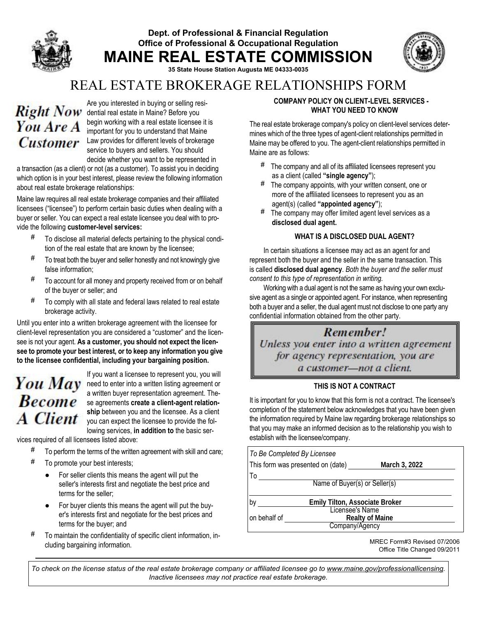#### Dept. of Professional & Financial Regulation Office of Professional & Occupational Regulation MAINE REAL ESTATE COMMISSION



35 State House Station Augusta ME 04333-0035

### REAL ESTATE BROKERAGE RELATIONSHIPS FORM

# You Are A

Are you interested in buying or selling resi-Right Now dential real estate in Maine? Before you begin working with a real estate licensee it is important for you to understand that Maine **Customer** Law provides for different levels of brokerage service to buyers and sellers. You should decide whether you want to be represented in

a transaction (as a client) or not (as a customer). To assist you in deciding which option is in your best interest, please review the following information about real estate brokerage relationships:

Maine law requires all real estate brokerage companies and their affiliated licensees ("licensee") to perform certain basic duties when dealing with a buyer or seller. You can expect a real estate licensee you deal with to provide the following customer-level services:

- **#** To disclose all material defects pertaining to the physical condition of the real estate that are known by the licensee;
- **#** To treat both the buyer and seller honestly and not knowingly give false information;
- **#** To account for all money and property received from or on behalf of the buyer or seller; and
- **#** To comply with all state and federal laws related to real estate brokerage activity.

Until you enter into a written brokerage agreement with the licensee for client-level representation you are considered a "customer" and the licensee is not your agent. As a customer, you should not expect the licensee to promote your best interest, or to keep any information you give to the licensee confidential, including your bargaining position.

# **Become A** Client

If you want a licensee to represent you, you will You  $May$  need to enter into a written listing agreement or a written buyer representation agreement. These agreements create a client-agent relationship between you and the licensee. As a client you can expect the licensee to provide the following services, in addition to the basic ser-

vices required of all licensees listed above:

- **#** To perform the terms of the written agreement with skill and care;
- **#** To promote your best interests;
	- For seller clients this means the agent will put the seller's interests first and negotiate the best price and terms for the seller;
	- For buyer clients this means the agent will put the buyer's interests first and negotiate for the best prices and terms for the buyer; and
- **#** To maintain the confidentiality of specific client information, including bargaining information.

#### COMPANY POLICY ON CLIENT-LEVEL SERVICES - WHAT YOU NEED TO KNOW

The real estate brokerage company's policy on client-level services determines which of the three types of agent-client relationships permitted in Maine may be offered to you. The agent-client relationships permitted in Maine are as follows:

- **#** The company and all of its affiliated licensees represent you as a client (called "single agency");
- **#** The company appoints, with your written consent, one or more of the affiliated licensees to represent you as an agent(s) (called "appointed agency");
- **#** The company may offer limited agent level services as a disclosed dual agent.

#### WHAT IS A DISCLOSED DUAL AGENT?

In certain situations a licensee may act as an agent for and represent both the buyer and the seller in the same transaction. This is called disclosed dual agency. *Both the buyer and the seller must consent to this type of representation in writing.*

Working with a dual agent is not the same as having your own exclusive agent as a single or appointed agent. For instance, when representing both a buyer and a seller, the dual agent must not disclose to one party any confidential information obtained from the other party.

## Remember!

Unless you enter into a written agreement for agency representation, you are a customer-not a client.

#### THIS IS NOT A CONTRACT

It is important for you to know that this form is not a contract. The licensee's completion of the statement below acknowledges that you have been given the information required by Maine law regarding brokerage relationships so that you may make an informed decision as to the relationship you wish to establish with the licensee/company.

| To Be Completed By Licensee   |                                   |                        |  |  |
|-------------------------------|-----------------------------------|------------------------|--|--|
|                               | This form was presented on (date) | March 3, 2022          |  |  |
| To                            |                                   |                        |  |  |
| Name of Buyer(s) or Seller(s) |                                   |                        |  |  |
| b٧                            | Emily Tilton, Associate Broker    |                        |  |  |
| on behalf of                  | <b>Licensee's Name</b>            | <b>Realty of Maine</b> |  |  |
|                               | Company/Agency                    |                        |  |  |

MREC Form#3 Revised 07/2006 Office Title Changed 09/2011

*To check on the license status of the real estate brokerage company or affiliated licensee go to www.maine.gov/professionallicensing. Inactive licensees may not practice real estate brokerage.*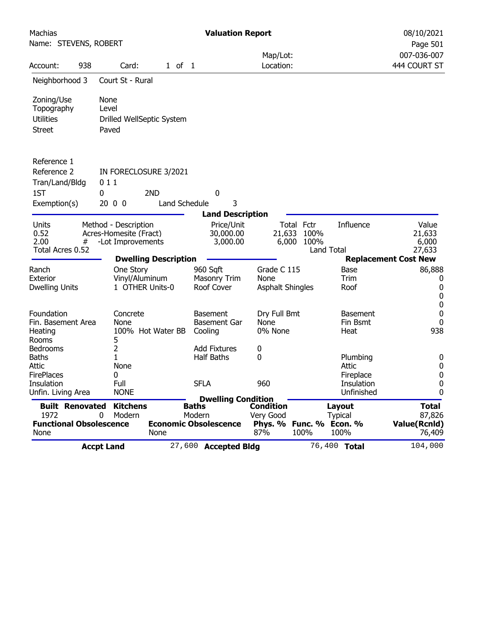| Machias                                  |     |                                   |               | <b>Valuation Report</b>                   |                                 |      |                          | 08/10/2021                    |
|------------------------------------------|-----|-----------------------------------|---------------|-------------------------------------------|---------------------------------|------|--------------------------|-------------------------------|
| Name: STEVENS, ROBERT                    |     |                                   |               |                                           |                                 |      |                          | Page 501                      |
|                                          |     |                                   |               |                                           | Map/Lot:                        |      |                          | 007-036-007                   |
| Account:                                 | 938 | Card:                             | $1$ of $1$    |                                           | Location:                       |      |                          | 444 COURT ST                  |
| Neighborhood 3                           |     | Court St - Rural                  |               |                                           |                                 |      |                          |                               |
| Zoning/Use                               |     | None                              |               |                                           |                                 |      |                          |                               |
| Topography                               |     | Level                             |               |                                           |                                 |      |                          |                               |
| <b>Utilities</b>                         |     | Drilled WellSeptic System         |               |                                           |                                 |      |                          |                               |
| <b>Street</b>                            |     | Paved                             |               |                                           |                                 |      |                          |                               |
| Reference 1                              |     |                                   |               |                                           |                                 |      |                          |                               |
| Reference 2                              |     | IN FORECLOSURE 3/2021             |               |                                           |                                 |      |                          |                               |
| Tran/Land/Bldg                           |     | 011                               |               |                                           |                                 |      |                          |                               |
| 1ST                                      |     | 2ND<br>0                          |               | 0                                         |                                 |      |                          |                               |
| Exemption(s)                             |     | 2000                              | Land Schedule | 3                                         |                                 |      |                          |                               |
|                                          |     |                                   |               | <b>Land Description</b>                   |                                 |      |                          |                               |
| Units                                    |     | Method - Description              |               | Price/Unit                                | Total Fctr                      |      | Influence                | Value                         |
| 0.52                                     |     | Acres-Homesite (Fract)            |               | 30,000.00                                 | 21,633                          | 100% |                          | 21,633                        |
| 2.00                                     | #   | -Lot Improvements                 |               | 3,000.00                                  | 6,000                           | 100% |                          | 6,000                         |
| Total Acres 0.52                         |     |                                   |               |                                           |                                 |      | Land Total               | 27,633                        |
|                                          |     | <b>Dwelling Description</b>       |               |                                           |                                 |      |                          | <b>Replacement Cost New</b>   |
| Ranch                                    |     | One Story                         |               | 960 Sqft                                  | Grade C 115                     |      | Base                     | 86,888                        |
| <b>Exterior</b><br><b>Dwelling Units</b> |     | Vinyl/Aluminum<br>1 OTHER Units-0 |               | <b>Masonry Trim</b><br>Roof Cover         | None<br><b>Asphalt Shingles</b> |      | Trim<br>Roof             | 0<br>0                        |
|                                          |     |                                   |               |                                           |                                 |      |                          | 0                             |
|                                          |     |                                   |               |                                           |                                 |      |                          | 0                             |
| Foundation                               |     | Concrete                          |               | <b>Basement</b>                           | Dry Full Bmt                    |      | <b>Basement</b>          | 0                             |
| Fin. Basement Area                       |     | None                              |               | <b>Basement Gar</b>                       | None                            |      | Fin Bsmt                 | 0                             |
| Heating                                  |     | 100% Hot Water BB                 |               | Cooling                                   | 0% None                         |      | Heat                     | 938                           |
| Rooms                                    |     | 5                                 |               |                                           |                                 |      |                          |                               |
| <b>Bedrooms</b><br><b>Baths</b>          |     | 2<br>$\mathbf{1}$                 |               | <b>Add Fixtures</b><br><b>Half Baths</b>  | 0                               |      |                          |                               |
| Attic                                    |     | None                              |               |                                           | 0                               |      | Plumbing<br><b>Attic</b> | 0<br>0                        |
| <b>FirePlaces</b>                        |     | 0                                 |               |                                           |                                 |      | Fireplace                | 0                             |
| Insulation                               |     | Full                              |               | <b>SFLA</b>                               | 960                             |      | Insulation               | 0                             |
| Unfin. Living Area                       |     | <b>NONE</b>                       |               |                                           |                                 |      | Unfinished               | 0                             |
| <b>Built Renovated</b>                   |     | <b>Kitchens</b>                   |               | <b>Dwelling Condition</b><br><b>Baths</b> | Condition                       |      | Layout                   | <b>Total</b>                  |
| 1972                                     |     | Modern<br>0                       |               | Modern                                    | Very Good                       |      | <b>Typical</b>           | 87,826                        |
| <b>Functional Obsolescence</b><br>None   |     |                                   | None          | <b>Economic Obsolescence</b>              | Phys. % Func. % Econ. %<br>87%  | 100% | 100%                     | <b>Value(Rcnld)</b><br>76,409 |
|                                          |     | <b>Accpt Land</b>                 |               | 27,600 Accepted Bldg                      |                                 |      | 76,400 Total             | 104,000                       |